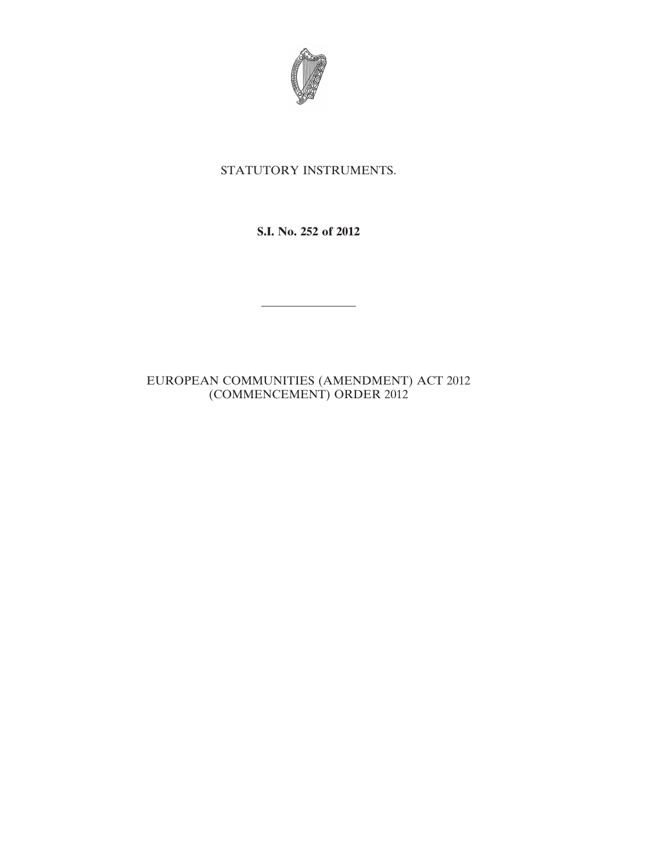

## STATUTORY INSTRUMENTS.

**S.I. No. 252 of 2012**

————————

## EUROPEAN COMMUNITIES (AMENDMENT) ACT 2012 (COMMENCEMENT) ORDER 2012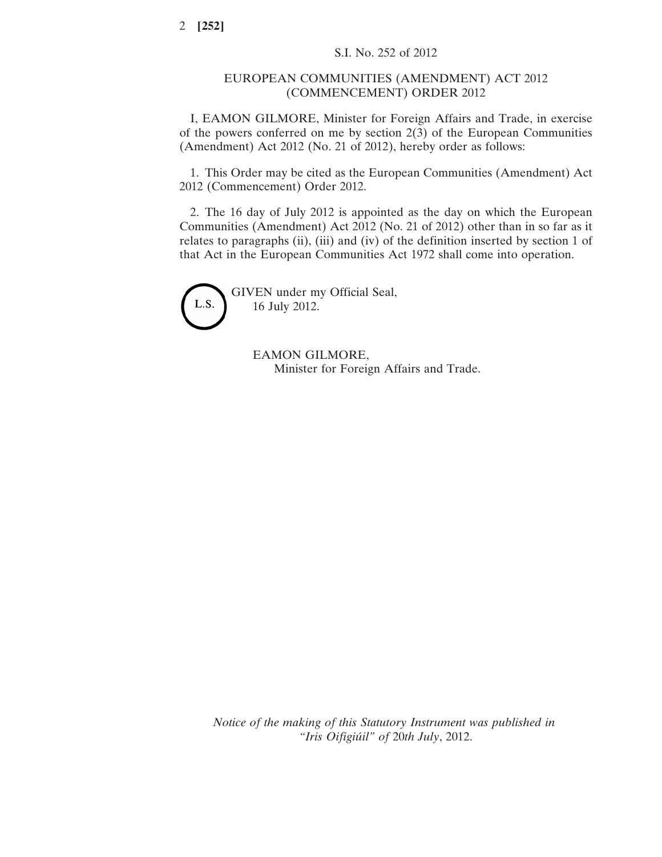## EUROPEAN COMMUNITIES (AMENDMENT) ACT 2012 (COMMENCEMENT) ORDER 2012

I, EAMON GILMORE, Minister for Foreign Affairs and Trade, in exercise of the powers conferred on me by section 2(3) of the European Communities (Amendment) Act 2012 (No. 21 of 2012), hereby order as follows:

1. This Order may be cited as the European Communities (Amendment) Act 2012 (Commencement) Order 2012.

2. The 16 day of July 2012 is appointed as the day on which the European Communities (Amendment) Act 2012 (No. 21 of 2012) other than in so far as it relates to paragraphs (ii), (iii) and (iv) of the definition inserted by section 1 of that Act in the European Communities Act 1972 shall come into operation.



GIVEN under my Official Seal, 16 July 2012.

> EAMON GILMORE, Minister for Foreign Affairs and Trade.

*Notice of the making of this Statutory Instrument was published in "Iris Oifigiúil" of* 20*th July*, 2012.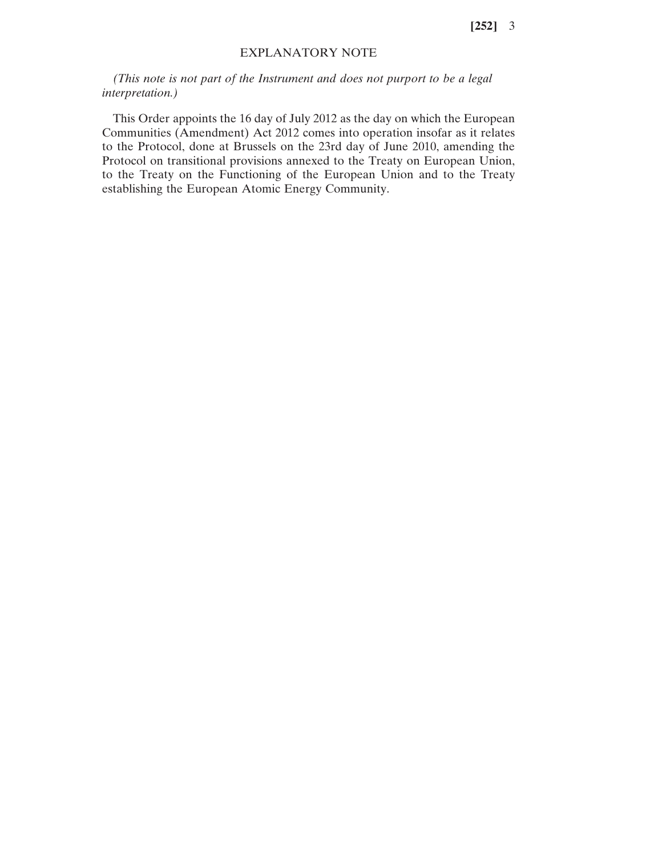**[252]** 3

## EXPLANATORY NOTE

*(This note is not part of the Instrument and does not purport to be a legal interpretation.)*

This Order appoints the 16 day of July 2012 as the day on which the European Communities (Amendment) Act 2012 comes into operation insofar as it relates to the Protocol, done at Brussels on the 23rd day of June 2010, amending the Protocol on transitional provisions annexed to the Treaty on European Union, to the Treaty on the Functioning of the European Union and to the Treaty establishing the European Atomic Energy Community.